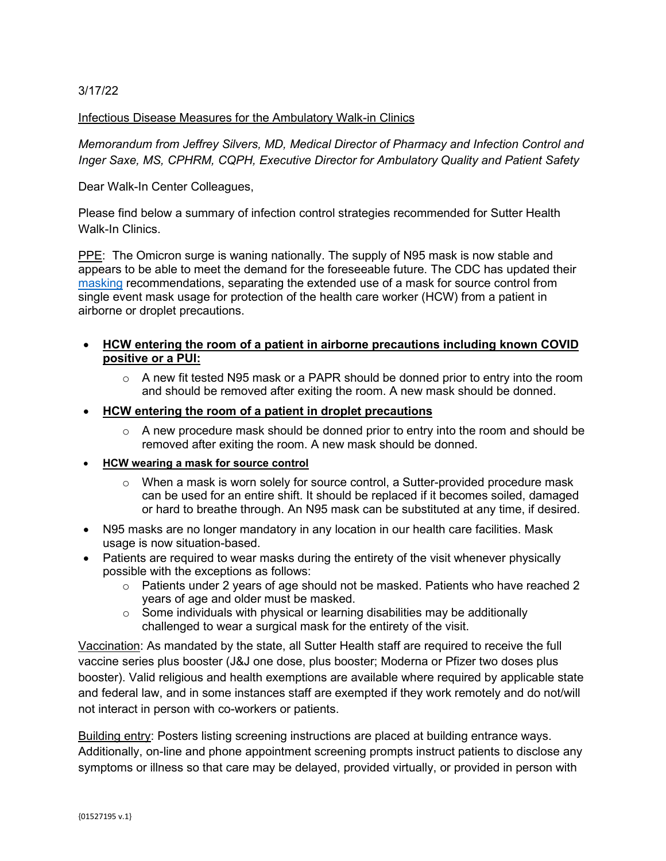# 3/17/22

## Infectious Disease Measures for the Ambulatory Walk-in Clinics

*Memorandum from Jeffrey Silvers, MD, Medical Director of Pharmacy and Infection Control and Inger Saxe, MS, CPHRM, CQPH, Executive Director for Ambulatory Quality and Patient Safety*

Dear Walk-In Center Colleagues,

Please find below a summary of infection control strategies recommended for Sutter Health Walk-In Clinics.

PPE: The Omicron surge is waning nationally. The supply of N95 mask is now stable and appears to be able to meet the demand for the foreseeable future. The CDC has updated their [masking](https://www.cdc.gov/coronavirus/2019-ncov/hcp/infection-control-recommendations.html) recommendations, separating the extended use of a mask for source control from single event mask usage for protection of the health care worker (HCW) from a patient in airborne or droplet precautions.

# • **HCW entering the room of a patient in airborne precautions including known COVID positive or a PUI:**

 $\circ$  A new fit tested N95 mask or a PAPR should be donned prior to entry into the room and should be removed after exiting the room. A new mask should be donned.

## • **HCW entering the room of a patient in droplet precautions**

 $\circ$  A new procedure mask should be donned prior to entry into the room and should be removed after exiting the room. A new mask should be donned.

#### • **HCW wearing a mask for source control**

- $\circ$  When a mask is worn solely for source control, a Sutter-provided procedure mask can be used for an entire shift. It should be replaced if it becomes soiled, damaged or hard to breathe through. An N95 mask can be substituted at any time, if desired.
- N95 masks are no longer mandatory in any location in our health care facilities. Mask usage is now situation-based.
- Patients are required to wear masks during the entirety of the visit whenever physically possible with the exceptions as follows:
	- $\circ$  Patients under 2 years of age should not be masked. Patients who have reached 2 years of age and older must be masked.
	- $\circ$  Some individuals with physical or learning disabilities may be additionally challenged to wear a surgical mask for the entirety of the visit.

Vaccination: As mandated by the state, all Sutter Health staff are required to receive the full vaccine series plus booster (J&J one dose, plus booster; Moderna or Pfizer two doses plus booster). Valid religious and health exemptions are available where required by applicable state and federal law, and in some instances staff are exempted if they work remotely and do not/will not interact in person with co-workers or patients.

Building entry: Posters listing screening instructions are placed at building entrance ways. Additionally, on-line and phone appointment screening prompts instruct patients to disclose any symptoms or illness so that care may be delayed, provided virtually, or provided in person with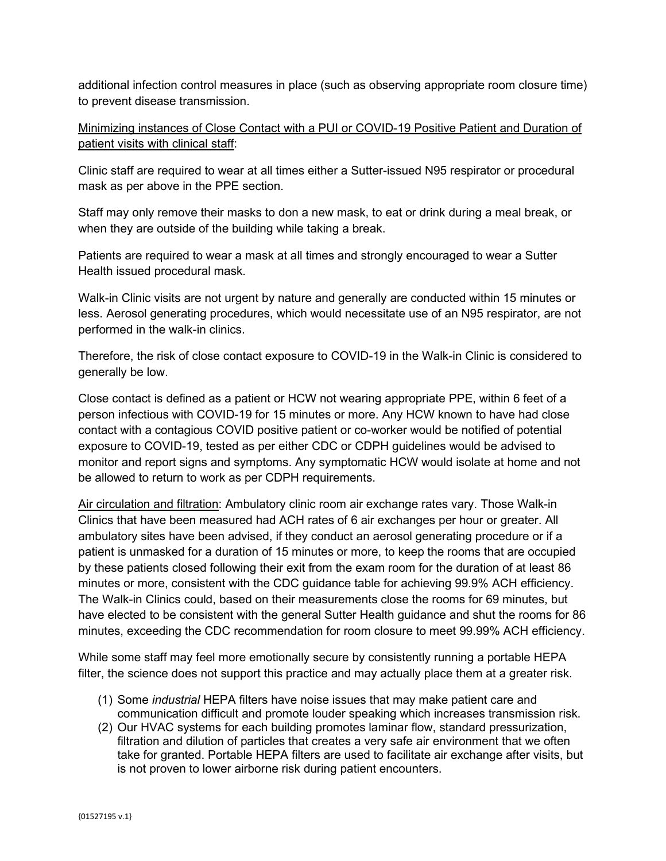additional infection control measures in place (such as observing appropriate room closure time) to prevent disease transmission.

Minimizing instances of Close Contact with a PUI or COVID-19 Positive Patient and Duration of patient visits with clinical staff:

Clinic staff are required to wear at all times either a Sutter-issued N95 respirator or procedural mask as per above in the PPE section.

Staff may only remove their masks to don a new mask, to eat or drink during a meal break, or when they are outside of the building while taking a break.

Patients are required to wear a mask at all times and strongly encouraged to wear a Sutter Health issued procedural mask.

Walk-in Clinic visits are not urgent by nature and generally are conducted within 15 minutes or less. Aerosol generating procedures, which would necessitate use of an N95 respirator, are not performed in the walk-in clinics.

Therefore, the risk of close contact exposure to COVID-19 in the Walk-in Clinic is considered to generally be low.

Close contact is defined as a patient or HCW not wearing appropriate PPE, within 6 feet of a person infectious with COVID-19 for 15 minutes or more. Any HCW known to have had close contact with a contagious COVID positive patient or co-worker would be notified of potential exposure to COVID-19, tested as per either CDC or CDPH guidelines would be advised to monitor and report signs and symptoms. Any symptomatic HCW would isolate at home and not be allowed to return to work as per CDPH requirements.

Air circulation and filtration: Ambulatory clinic room air exchange rates vary. Those Walk-in Clinics that have been measured had ACH rates of 6 air exchanges per hour or greater. All ambulatory sites have been advised, if they conduct an aerosol generating procedure or if a patient is unmasked for a duration of 15 minutes or more, to keep the rooms that are occupied by these patients closed following their exit from the exam room for the duration of at least 86 minutes or more, consistent with the CDC guidance table for achieving 99.9% ACH efficiency. The Walk-in Clinics could, based on their measurements close the rooms for 69 minutes, but have elected to be consistent with the general Sutter Health guidance and shut the rooms for 86 minutes, exceeding the CDC recommendation for room closure to meet 99.99% ACH efficiency.

While some staff may feel more emotionally secure by consistently running a portable HEPA filter, the science does not support this practice and may actually place them at a greater risk.

- (1) Some *industrial* HEPA filters have noise issues that may make patient care and communication difficult and promote louder speaking which increases transmission risk.
- (2) Our HVAC systems for each building promotes laminar flow, standard pressurization, filtration and dilution of particles that creates a very safe air environment that we often take for granted. Portable HEPA filters are used to facilitate air exchange after visits, but is not proven to lower airborne risk during patient encounters.